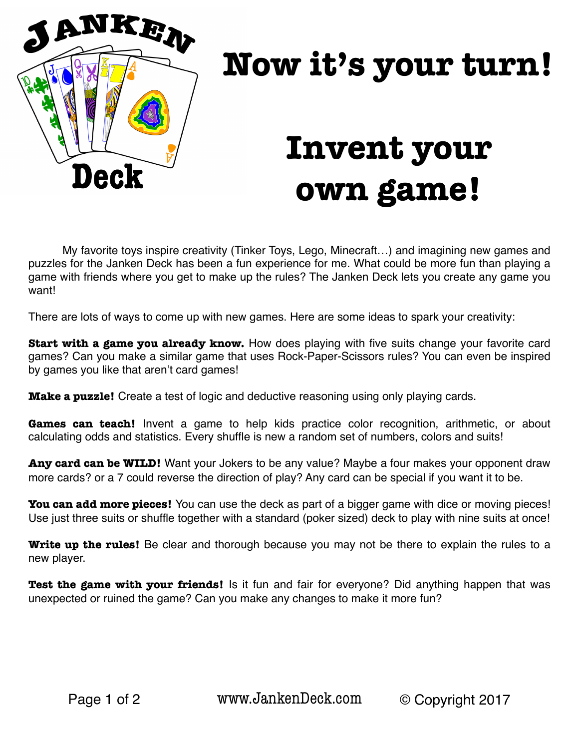

# **Now it's your turn!**

## **Invent your own game!**

My favorite toys inspire creativity (Tinker Toys, Lego, Minecraft…) and imagining new games and puzzles for the Janken Deck has been a fun experience for me. What could be more fun than playing a game with friends where you get to make up the rules? The Janken Deck lets you create any game you want!

There are lots of ways to come up with new games. Here are some ideas to spark your creativity:

**Start with a game you already know.** How does playing with five suits change your favorite card games? Can you make a similar game that uses Rock-Paper-Scissors rules? You can even be inspired by games you like that aren't card games!

**Make a puzzle!** Create a test of logic and deductive reasoning using only playing cards.

Games can teach! Invent a game to help kids practice color recognition, arithmetic, or about calculating odds and statistics. Every shuffle is new a random set of numbers, colors and suits!

Any card can be WILD! Want your Jokers to be any value? Maybe a four makes your opponent draw more cards? or a 7 could reverse the direction of play? Any card can be special if you want it to be.

**You can add more pieces!** You can use the deck as part of a bigger game with dice or moving pieces! Use just three suits or shuffle together with a standard (poker sized) deck to play with nine suits at once!

**Write up the rules!** Be clear and thorough because you may not be there to explain the rules to a new player.

**Test the game with your friends!** Is it fun and fair for everyone? Did anything happen that was unexpected or ruined the game? Can you make any changes to make it more fun?